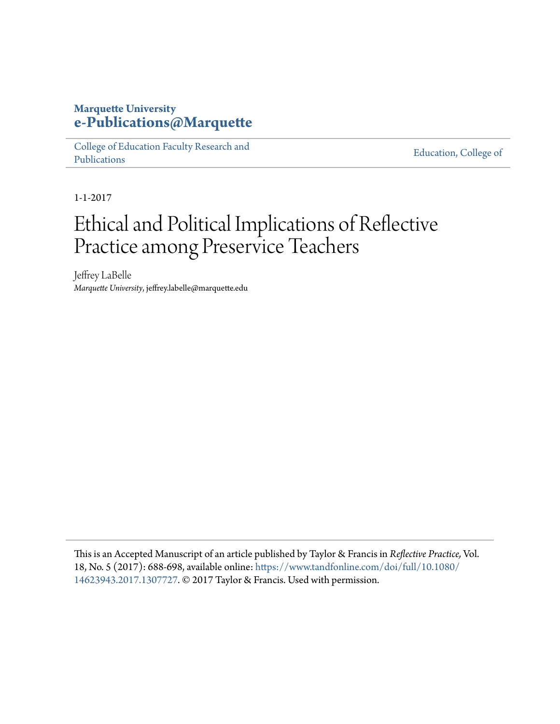# **Marquette University [e-Publications@Marquette](https://epublications.marquette.edu)**

[College of Education Faculty Research and](https://epublications.marquette.edu/edu_fac) [Publications](https://epublications.marquette.edu/edu_fac)

[Education, College of](https://epublications.marquette.edu/education)

1-1-2017

# Ethical and Political Implications of Reflective Practice among Preservice Teachers

Jeffrey LaBelle *Marquette University*, jeffrey.labelle@marquette.edu

This is an Accepted Manuscript of an article published by Taylor & Francis in *Reflective Practice,* Vol. 18, No. 5 (2017): 688-698, available online: [https://www.tandfonline.com/doi/full/10.1080/](https://www.tandfonline.com/doi/full/10.1080/14623943.2017.1307727) [14623943.2017.1307727](https://www.tandfonline.com/doi/full/10.1080/14623943.2017.1307727). © 2017 Taylor & Francis. Used with permission.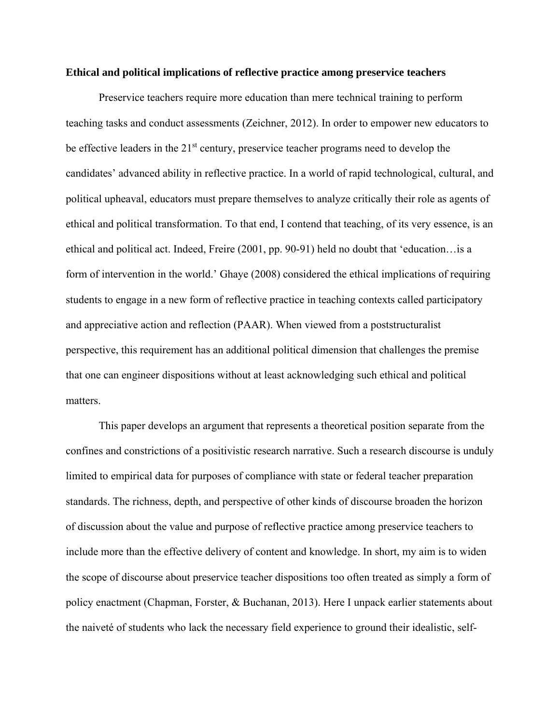#### **Ethical and political implications of reflective practice among preservice teachers**

Preservice teachers require more education than mere technical training to perform teaching tasks and conduct assessments (Zeichner, 2012). In order to empower new educators to be effective leaders in the  $21<sup>st</sup>$  century, preservice teacher programs need to develop the candidates' advanced ability in reflective practice. In a world of rapid technological, cultural, and political upheaval, educators must prepare themselves to analyze critically their role as agents of ethical and political transformation. To that end, I contend that teaching, of its very essence, is an ethical and political act. Indeed, Freire (2001, pp. 90-91) held no doubt that 'education…is a form of intervention in the world.' Ghaye (2008) considered the ethical implications of requiring students to engage in a new form of reflective practice in teaching contexts called participatory and appreciative action and reflection (PAAR). When viewed from a poststructuralist perspective, this requirement has an additional political dimension that challenges the premise that one can engineer dispositions without at least acknowledging such ethical and political matters.

This paper develops an argument that represents a theoretical position separate from the confines and constrictions of a positivistic research narrative. Such a research discourse is unduly limited to empirical data for purposes of compliance with state or federal teacher preparation standards. The richness, depth, and perspective of other kinds of discourse broaden the horizon of discussion about the value and purpose of reflective practice among preservice teachers to include more than the effective delivery of content and knowledge. In short, my aim is to widen the scope of discourse about preservice teacher dispositions too often treated as simply a form of policy enactment (Chapman, Forster, & Buchanan, 2013). Here I unpack earlier statements about the naiveté of students who lack the necessary field experience to ground their idealistic, self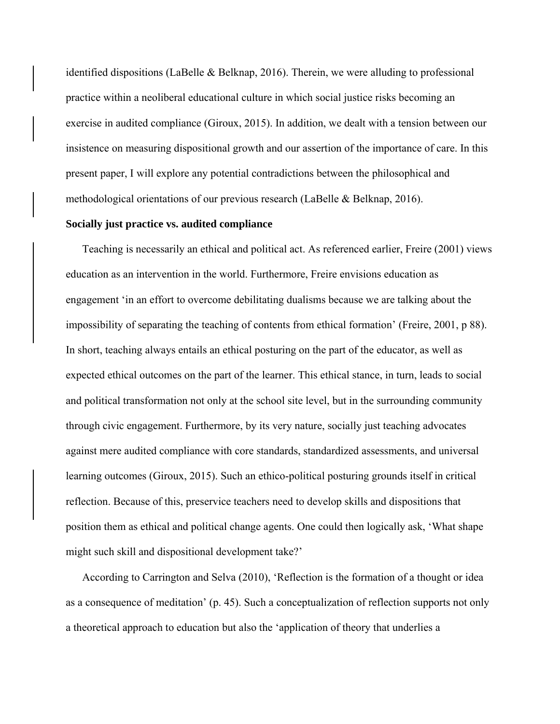identified dispositions (LaBelle & Belknap, 2016). Therein, we were alluding to professional practice within a neoliberal educational culture in which social justice risks becoming an exercise in audited compliance (Giroux, 2015). In addition, we dealt with a tension between our insistence on measuring dispositional growth and our assertion of the importance of care. In this present paper, I will explore any potential contradictions between the philosophical and methodological orientations of our previous research (LaBelle & Belknap, 2016).

# **Socially just practice vs. audited compliance**

Teaching is necessarily an ethical and political act. As referenced earlier, Freire (2001) views education as an intervention in the world. Furthermore, Freire envisions education as engagement 'in an effort to overcome debilitating dualisms because we are talking about the impossibility of separating the teaching of contents from ethical formation' (Freire, 2001, p 88). In short, teaching always entails an ethical posturing on the part of the educator, as well as expected ethical outcomes on the part of the learner. This ethical stance, in turn, leads to social and political transformation not only at the school site level, but in the surrounding community through civic engagement. Furthermore, by its very nature, socially just teaching advocates against mere audited compliance with core standards, standardized assessments, and universal learning outcomes (Giroux, 2015). Such an ethico-political posturing grounds itself in critical reflection. Because of this, preservice teachers need to develop skills and dispositions that position them as ethical and political change agents. One could then logically ask, 'What shape might such skill and dispositional development take?'

According to Carrington and Selva (2010), 'Reflection is the formation of a thought or idea as a consequence of meditation' (p. 45). Such a conceptualization of reflection supports not only a theoretical approach to education but also the 'application of theory that underlies a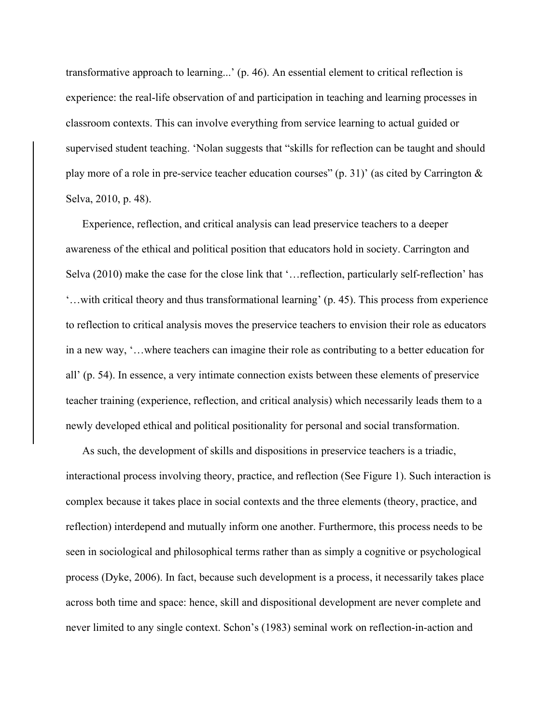transformative approach to learning...' (p. 46). An essential element to critical reflection is experience: the real-life observation of and participation in teaching and learning processes in classroom contexts. This can involve everything from service learning to actual guided or supervised student teaching. 'Nolan suggests that "skills for reflection can be taught and should play more of a role in pre-service teacher education courses" (p. 31)' (as cited by Carrington & Selva, 2010, p. 48).

Experience, reflection, and critical analysis can lead preservice teachers to a deeper awareness of the ethical and political position that educators hold in society. Carrington and Selva (2010) make the case for the close link that '…reflection, particularly self-reflection' has '…with critical theory and thus transformational learning' (p. 45). This process from experience to reflection to critical analysis moves the preservice teachers to envision their role as educators in a new way, '…where teachers can imagine their role as contributing to a better education for all' (p. 54). In essence, a very intimate connection exists between these elements of preservice teacher training (experience, reflection, and critical analysis) which necessarily leads them to a newly developed ethical and political positionality for personal and social transformation.

As such, the development of skills and dispositions in preservice teachers is a triadic, interactional process involving theory, practice, and reflection (See Figure 1). Such interaction is complex because it takes place in social contexts and the three elements (theory, practice, and reflection) interdepend and mutually inform one another. Furthermore, this process needs to be seen in sociological and philosophical terms rather than as simply a cognitive or psychological process (Dyke, 2006). In fact, because such development is a process, it necessarily takes place across both time and space: hence, skill and dispositional development are never complete and never limited to any single context. Schon's (1983) seminal work on reflection-in-action and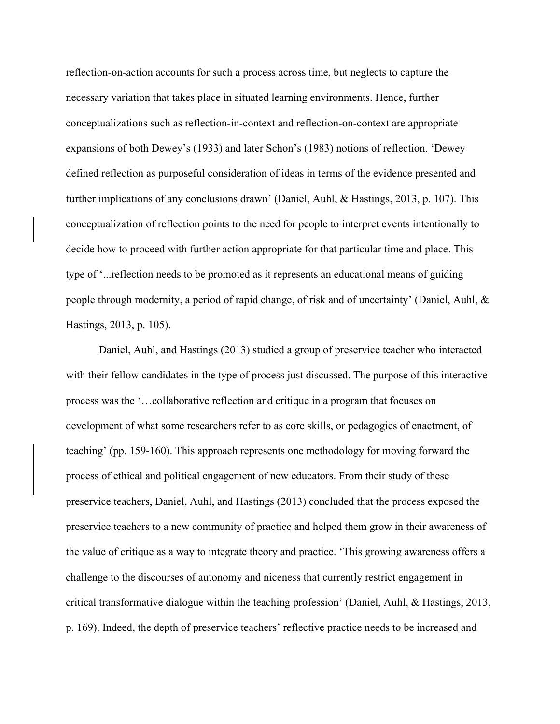reflection-on-action accounts for such a process across time, but neglects to capture the necessary variation that takes place in situated learning environments. Hence, further conceptualizations such as reflection-in-context and reflection-on-context are appropriate expansions of both Dewey's (1933) and later Schon's (1983) notions of reflection. 'Dewey defined reflection as purposeful consideration of ideas in terms of the evidence presented and further implications of any conclusions drawn' (Daniel, Auhl, & Hastings, 2013, p. 107). This conceptualization of reflection points to the need for people to interpret events intentionally to decide how to proceed with further action appropriate for that particular time and place. This type of '...reflection needs to be promoted as it represents an educational means of guiding people through modernity, a period of rapid change, of risk and of uncertainty' (Daniel, Auhl, & Hastings, 2013, p. 105).

Daniel, Auhl, and Hastings (2013) studied a group of preservice teacher who interacted with their fellow candidates in the type of process just discussed. The purpose of this interactive process was the '…collaborative reflection and critique in a program that focuses on development of what some researchers refer to as core skills, or pedagogies of enactment, of teaching' (pp. 159-160). This approach represents one methodology for moving forward the process of ethical and political engagement of new educators. From their study of these preservice teachers, Daniel, Auhl, and Hastings (2013) concluded that the process exposed the preservice teachers to a new community of practice and helped them grow in their awareness of the value of critique as a way to integrate theory and practice. 'This growing awareness offers a challenge to the discourses of autonomy and niceness that currently restrict engagement in critical transformative dialogue within the teaching profession' (Daniel, Auhl, & Hastings, 2013, p. 169). Indeed, the depth of preservice teachers' reflective practice needs to be increased and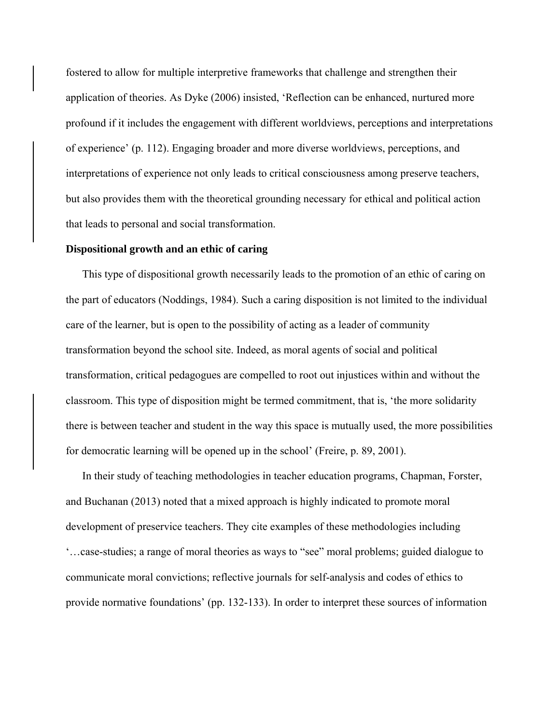fostered to allow for multiple interpretive frameworks that challenge and strengthen their application of theories. As Dyke (2006) insisted, 'Reflection can be enhanced, nurtured more profound if it includes the engagement with different worldviews, perceptions and interpretations of experience' (p. 112). Engaging broader and more diverse worldviews, perceptions, and interpretations of experience not only leads to critical consciousness among preserve teachers, but also provides them with the theoretical grounding necessary for ethical and political action that leads to personal and social transformation.

#### **Dispositional growth and an ethic of caring**

This type of dispositional growth necessarily leads to the promotion of an ethic of caring on the part of educators (Noddings, 1984). Such a caring disposition is not limited to the individual care of the learner, but is open to the possibility of acting as a leader of community transformation beyond the school site. Indeed, as moral agents of social and political transformation, critical pedagogues are compelled to root out injustices within and without the classroom. This type of disposition might be termed commitment, that is, 'the more solidarity there is between teacher and student in the way this space is mutually used, the more possibilities for democratic learning will be opened up in the school' (Freire, p. 89, 2001).

In their study of teaching methodologies in teacher education programs, Chapman, Forster, and Buchanan (2013) noted that a mixed approach is highly indicated to promote moral development of preservice teachers. They cite examples of these methodologies including '…case-studies; a range of moral theories as ways to "see" moral problems; guided dialogue to communicate moral convictions; reflective journals for self-analysis and codes of ethics to provide normative foundations' (pp. 132-133). In order to interpret these sources of information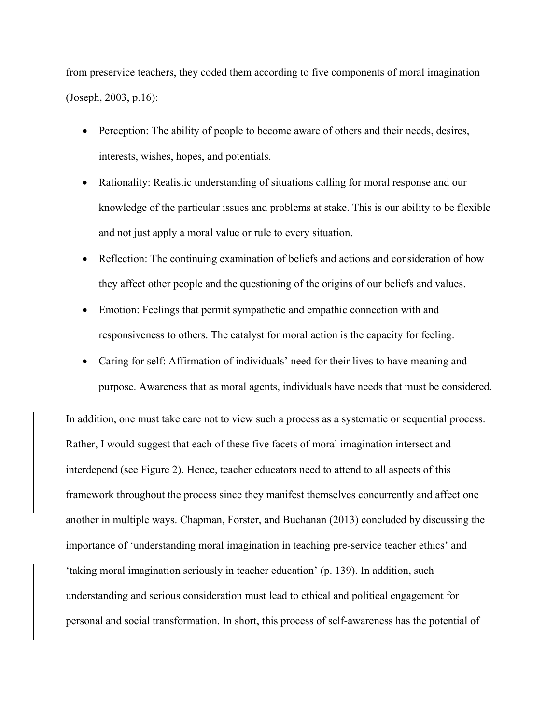from preservice teachers, they coded them according to five components of moral imagination (Joseph, 2003, p.16):

- Perception: The ability of people to become aware of others and their needs, desires, interests, wishes, hopes, and potentials.
- Rationality: Realistic understanding of situations calling for moral response and our knowledge of the particular issues and problems at stake. This is our ability to be flexible and not just apply a moral value or rule to every situation.
- Reflection: The continuing examination of beliefs and actions and consideration of how they affect other people and the questioning of the origins of our beliefs and values.
- Emotion: Feelings that permit sympathetic and empathic connection with and responsiveness to others. The catalyst for moral action is the capacity for feeling.
- Caring for self: Affirmation of individuals' need for their lives to have meaning and purpose. Awareness that as moral agents, individuals have needs that must be considered.

In addition, one must take care not to view such a process as a systematic or sequential process. Rather, I would suggest that each of these five facets of moral imagination intersect and interdepend (see Figure 2). Hence, teacher educators need to attend to all aspects of this framework throughout the process since they manifest themselves concurrently and affect one another in multiple ways. Chapman, Forster, and Buchanan (2013) concluded by discussing the importance of 'understanding moral imagination in teaching pre-service teacher ethics' and 'taking moral imagination seriously in teacher education' (p. 139). In addition, such understanding and serious consideration must lead to ethical and political engagement for personal and social transformation. In short, this process of self-awareness has the potential of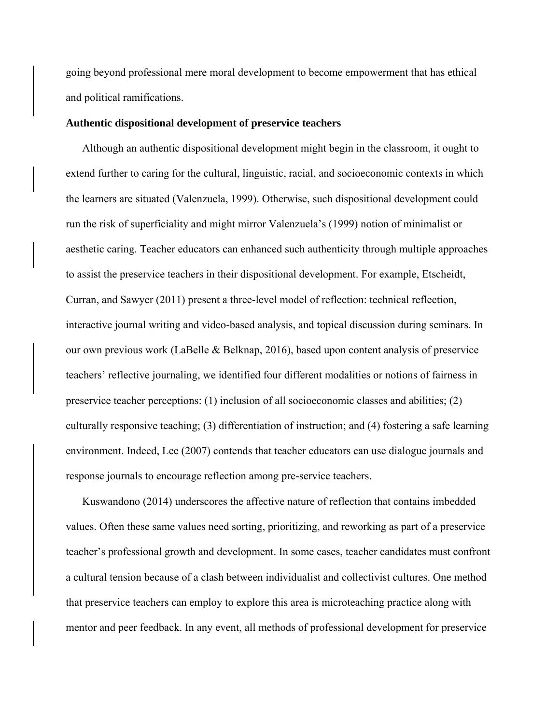going beyond professional mere moral development to become empowerment that has ethical and political ramifications.

#### **Authentic dispositional development of preservice teachers**

Although an authentic dispositional development might begin in the classroom, it ought to extend further to caring for the cultural, linguistic, racial, and socioeconomic contexts in which the learners are situated (Valenzuela, 1999). Otherwise, such dispositional development could run the risk of superficiality and might mirror Valenzuela's (1999) notion of minimalist or aesthetic caring. Teacher educators can enhanced such authenticity through multiple approaches to assist the preservice teachers in their dispositional development. For example, Etscheidt, Curran, and Sawyer (2011) present a three-level model of reflection: technical reflection, interactive journal writing and video-based analysis, and topical discussion during seminars. In our own previous work (LaBelle & Belknap, 2016), based upon content analysis of preservice teachers' reflective journaling, we identified four different modalities or notions of fairness in preservice teacher perceptions: (1) inclusion of all socioeconomic classes and abilities; (2) culturally responsive teaching; (3) differentiation of instruction; and (4) fostering a safe learning environment. Indeed, Lee (2007) contends that teacher educators can use dialogue journals and response journals to encourage reflection among pre-service teachers.

Kuswandono (2014) underscores the affective nature of reflection that contains imbedded values. Often these same values need sorting, prioritizing, and reworking as part of a preservice teacher's professional growth and development. In some cases, teacher candidates must confront a cultural tension because of a clash between individualist and collectivist cultures. One method that preservice teachers can employ to explore this area is microteaching practice along with mentor and peer feedback. In any event, all methods of professional development for preservice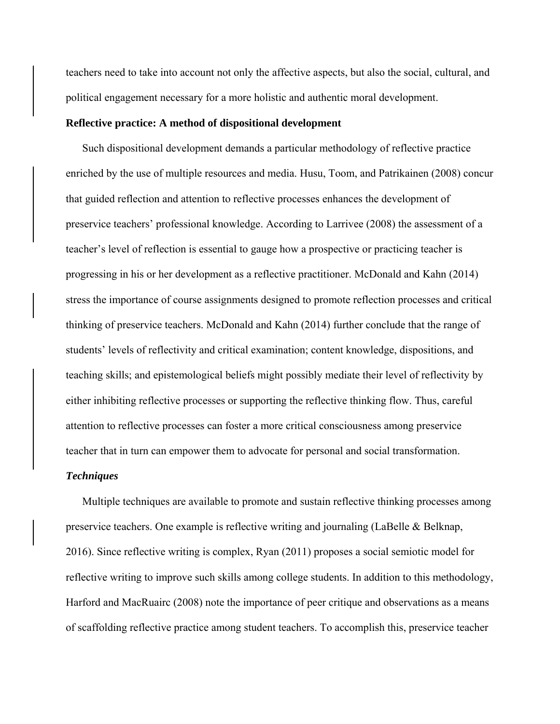teachers need to take into account not only the affective aspects, but also the social, cultural, and political engagement necessary for a more holistic and authentic moral development.

#### **Reflective practice: A method of dispositional development**

Such dispositional development demands a particular methodology of reflective practice enriched by the use of multiple resources and media. Husu, Toom, and Patrikainen (2008) concur that guided reflection and attention to reflective processes enhances the development of preservice teachers' professional knowledge. According to Larrivee (2008) the assessment of a teacher's level of reflection is essential to gauge how a prospective or practicing teacher is progressing in his or her development as a reflective practitioner. McDonald and Kahn (2014) stress the importance of course assignments designed to promote reflection processes and critical thinking of preservice teachers. McDonald and Kahn (2014) further conclude that the range of students' levels of reflectivity and critical examination; content knowledge, dispositions, and teaching skills; and epistemological beliefs might possibly mediate their level of reflectivity by either inhibiting reflective processes or supporting the reflective thinking flow. Thus, careful attention to reflective processes can foster a more critical consciousness among preservice teacher that in turn can empower them to advocate for personal and social transformation.

### *Techniques*

Multiple techniques are available to promote and sustain reflective thinking processes among preservice teachers. One example is reflective writing and journaling (LaBelle & Belknap, 2016). Since reflective writing is complex, Ryan (2011) proposes a social semiotic model for reflective writing to improve such skills among college students. In addition to this methodology, Harford and MacRuairc (2008) note the importance of peer critique and observations as a means of scaffolding reflective practice among student teachers. To accomplish this, preservice teacher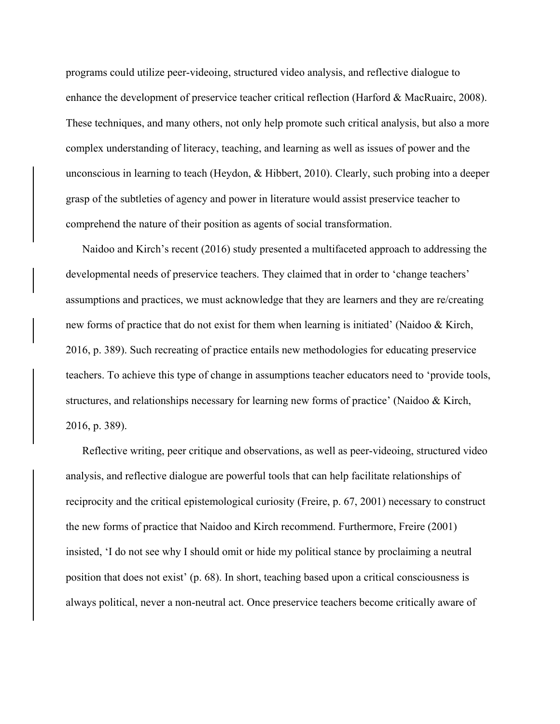programs could utilize peer-videoing, structured video analysis, and reflective dialogue to enhance the development of preservice teacher critical reflection (Harford & MacRuairc, 2008). These techniques, and many others, not only help promote such critical analysis, but also a more complex understanding of literacy, teaching, and learning as well as issues of power and the unconscious in learning to teach (Heydon, & Hibbert, 2010). Clearly, such probing into a deeper grasp of the subtleties of agency and power in literature would assist preservice teacher to comprehend the nature of their position as agents of social transformation.

Naidoo and Kirch's recent (2016) study presented a multifaceted approach to addressing the developmental needs of preservice teachers. They claimed that in order to 'change teachers' assumptions and practices, we must acknowledge that they are learners and they are re/creating new forms of practice that do not exist for them when learning is initiated' (Naidoo & Kirch, 2016, p. 389). Such recreating of practice entails new methodologies for educating preservice teachers. To achieve this type of change in assumptions teacher educators need to 'provide tools, structures, and relationships necessary for learning new forms of practice' (Naidoo & Kirch, 2016, p. 389).

Reflective writing, peer critique and observations, as well as peer-videoing, structured video analysis, and reflective dialogue are powerful tools that can help facilitate relationships of reciprocity and the critical epistemological curiosity (Freire, p. 67, 2001) necessary to construct the new forms of practice that Naidoo and Kirch recommend. Furthermore, Freire (2001) insisted, 'I do not see why I should omit or hide my political stance by proclaiming a neutral position that does not exist' (p. 68). In short, teaching based upon a critical consciousness is always political, never a non-neutral act. Once preservice teachers become critically aware of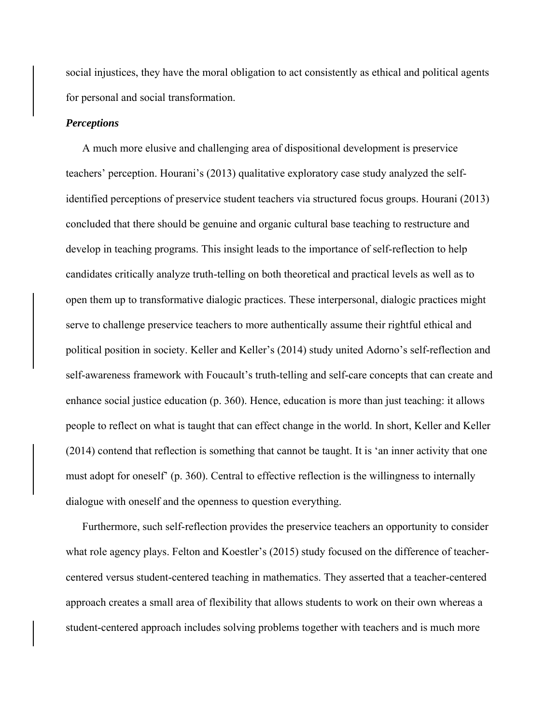social injustices, they have the moral obligation to act consistently as ethical and political agents for personal and social transformation.

# *Perceptions*

A much more elusive and challenging area of dispositional development is preservice teachers' perception. Hourani's (2013) qualitative exploratory case study analyzed the selfidentified perceptions of preservice student teachers via structured focus groups. Hourani (2013) concluded that there should be genuine and organic cultural base teaching to restructure and develop in teaching programs. This insight leads to the importance of self-reflection to help candidates critically analyze truth-telling on both theoretical and practical levels as well as to open them up to transformative dialogic practices. These interpersonal, dialogic practices might serve to challenge preservice teachers to more authentically assume their rightful ethical and political position in society. Keller and Keller's (2014) study united Adorno's self-reflection and self-awareness framework with Foucault's truth-telling and self-care concepts that can create and enhance social justice education (p. 360). Hence, education is more than just teaching: it allows people to reflect on what is taught that can effect change in the world. In short, Keller and Keller (2014) contend that reflection is something that cannot be taught. It is 'an inner activity that one must adopt for oneself' (p. 360). Central to effective reflection is the willingness to internally dialogue with oneself and the openness to question everything.

Furthermore, such self-reflection provides the preservice teachers an opportunity to consider what role agency plays. Felton and Koestler's (2015) study focused on the difference of teachercentered versus student-centered teaching in mathematics. They asserted that a teacher-centered approach creates a small area of flexibility that allows students to work on their own whereas a student-centered approach includes solving problems together with teachers and is much more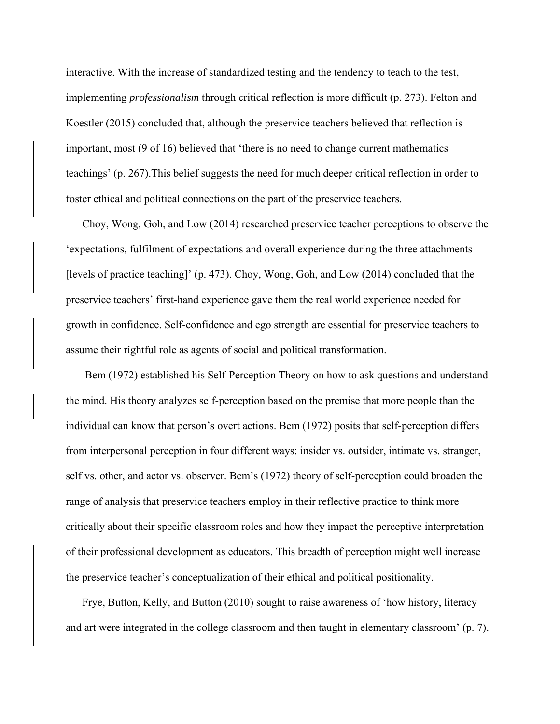interactive. With the increase of standardized testing and the tendency to teach to the test, implementing *professionalism* through critical reflection is more difficult (p. 273). Felton and Koestler (2015) concluded that, although the preservice teachers believed that reflection is important, most (9 of 16) believed that 'there is no need to change current mathematics teachings' (p. 267).This belief suggests the need for much deeper critical reflection in order to foster ethical and political connections on the part of the preservice teachers.

Choy, Wong, Goh, and Low (2014) researched preservice teacher perceptions to observe the 'expectations, fulfilment of expectations and overall experience during the three attachments [levels of practice teaching]' (p. 473). Choy, Wong, Goh, and Low (2014) concluded that the preservice teachers' first-hand experience gave them the real world experience needed for growth in confidence. Self-confidence and ego strength are essential for preservice teachers to assume their rightful role as agents of social and political transformation.

Bem (1972) established his Self-Perception Theory on how to ask questions and understand the mind. His theory analyzes self-perception based on the premise that more people than the individual can know that person's overt actions. Bem (1972) posits that self-perception differs from interpersonal perception in four different ways: insider vs. outsider, intimate vs. stranger, self vs. other, and actor vs. observer. Bem's (1972) theory of self-perception could broaden the range of analysis that preservice teachers employ in their reflective practice to think more critically about their specific classroom roles and how they impact the perceptive interpretation of their professional development as educators. This breadth of perception might well increase the preservice teacher's conceptualization of their ethical and political positionality.

Frye, Button, Kelly, and Button (2010) sought to raise awareness of 'how history, literacy and art were integrated in the college classroom and then taught in elementary classroom' (p. 7).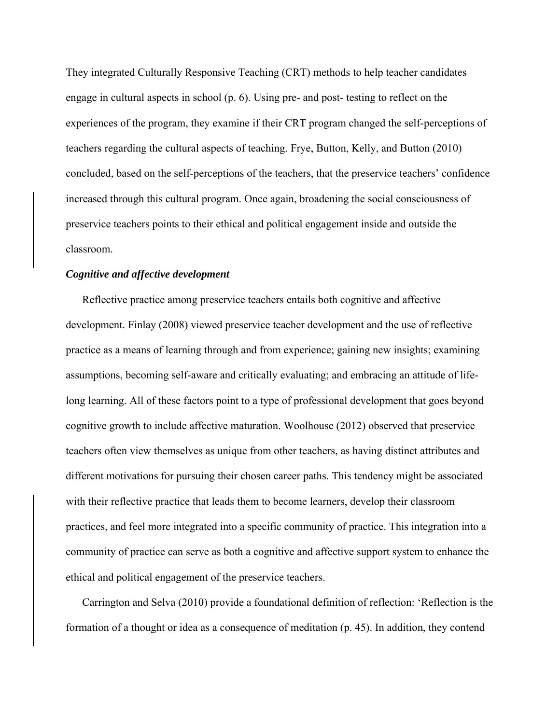They integrated Culturally Responsive Teaching (CRT) methods to help teacher candidates engage in cultural aspects in school (p. 6). Using pre- and post- testing to reflect on the experiences of the program, they examine if their CRT program changed the self-perceptions of teachers regarding the cultural aspects of teaching. Frye, Button, Kelly, and Button (2010) concluded, based on the self-perceptions of the teachers, that the preservice teachers' confidence increased through this cultural program. Once again, broadening the social consciousness of preservice teachers points to their ethical and political engagement inside and outside the classroom.

#### *Cognitive and affective development*

Reflective practice among preservice teachers entails both cognitive and affective development. Finlay (2008) viewed preservice teacher development and the use of reflective practice as a means of learning through and from experience; gaining new insights; examining assumptions, becoming self-aware and critically evaluating; and embracing an attitude of lifelong learning. All of these factors point to a type of professional development that goes beyond cognitive growth to include affective maturation. Woolhouse (2012) observed that preservice teachers often view themselves as unique from other teachers, as having distinct attributes and different motivations for pursuing their chosen career paths. This tendency might be associated with their reflective practice that leads them to become learners, develop their classroom practices, and feel more integrated into a specific community of practice. This integration into a community of practice can serve as both a cognitive and affective support system to enhance the ethical and political engagement of the preservice teachers.

Carrington and Selva (2010) provide a foundational definition of reflection: 'Reflection is the formation of a thought or idea as a consequence of meditation (p. 45). In addition, they contend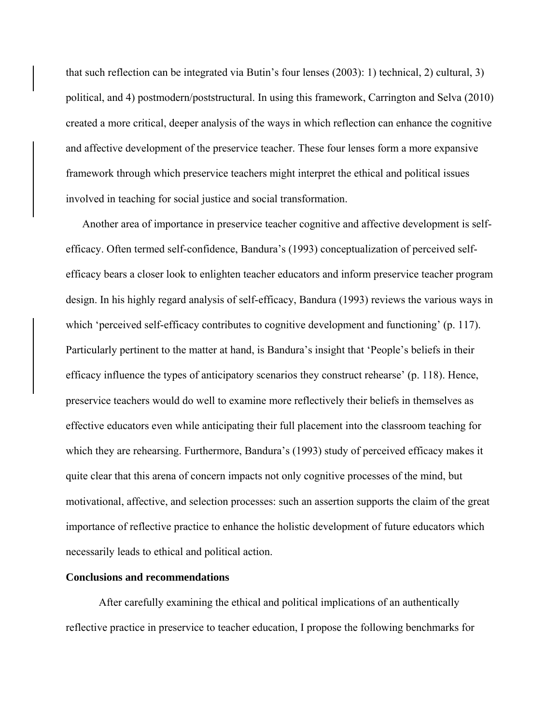that such reflection can be integrated via Butin's four lenses (2003): 1) technical, 2) cultural, 3) political, and 4) postmodern/poststructural. In using this framework, Carrington and Selva (2010) created a more critical, deeper analysis of the ways in which reflection can enhance the cognitive and affective development of the preservice teacher. These four lenses form a more expansive framework through which preservice teachers might interpret the ethical and political issues involved in teaching for social justice and social transformation.

Another area of importance in preservice teacher cognitive and affective development is selfefficacy. Often termed self-confidence, Bandura's (1993) conceptualization of perceived selfefficacy bears a closer look to enlighten teacher educators and inform preservice teacher program design. In his highly regard analysis of self-efficacy, Bandura (1993) reviews the various ways in which 'perceived self-efficacy contributes to cognitive development and functioning' (p. 117). Particularly pertinent to the matter at hand, is Bandura's insight that 'People's beliefs in their efficacy influence the types of anticipatory scenarios they construct rehearse' (p. 118). Hence, preservice teachers would do well to examine more reflectively their beliefs in themselves as effective educators even while anticipating their full placement into the classroom teaching for which they are rehearsing. Furthermore, Bandura's (1993) study of perceived efficacy makes it quite clear that this arena of concern impacts not only cognitive processes of the mind, but motivational, affective, and selection processes: such an assertion supports the claim of the great importance of reflective practice to enhance the holistic development of future educators which necessarily leads to ethical and political action.

#### **Conclusions and recommendations**

After carefully examining the ethical and political implications of an authentically reflective practice in preservice to teacher education, I propose the following benchmarks for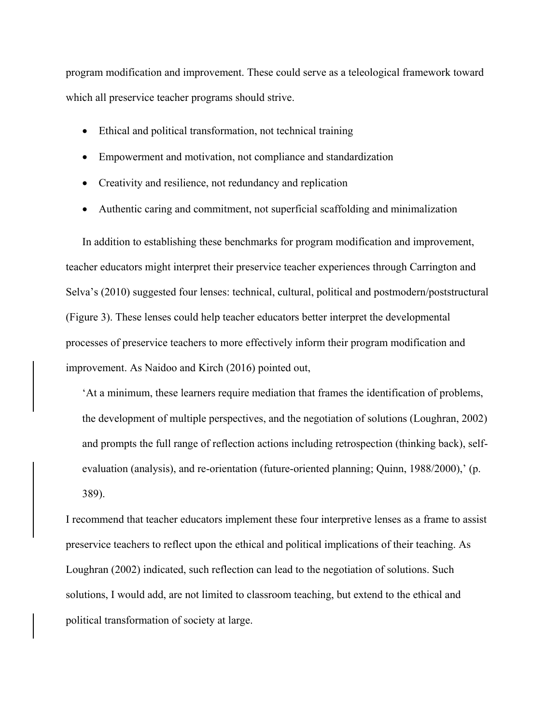program modification and improvement. These could serve as a teleological framework toward which all preservice teacher programs should strive.

- Ethical and political transformation, not technical training
- Empowerment and motivation, not compliance and standardization
- Creativity and resilience, not redundancy and replication
- Authentic caring and commitment, not superficial scaffolding and minimalization

In addition to establishing these benchmarks for program modification and improvement, teacher educators might interpret their preservice teacher experiences through Carrington and Selva's (2010) suggested four lenses: technical, cultural, political and postmodern/poststructural (Figure 3). These lenses could help teacher educators better interpret the developmental processes of preservice teachers to more effectively inform their program modification and improvement. As Naidoo and Kirch (2016) pointed out,

'At a minimum, these learners require mediation that frames the identification of problems, the development of multiple perspectives, and the negotiation of solutions (Loughran, 2002) and prompts the full range of reflection actions including retrospection (thinking back), selfevaluation (analysis), and re-orientation (future-oriented planning; Quinn, 1988/2000),' (p. 389).

I recommend that teacher educators implement these four interpretive lenses as a frame to assist preservice teachers to reflect upon the ethical and political implications of their teaching. As Loughran (2002) indicated, such reflection can lead to the negotiation of solutions. Such solutions, I would add, are not limited to classroom teaching, but extend to the ethical and political transformation of society at large.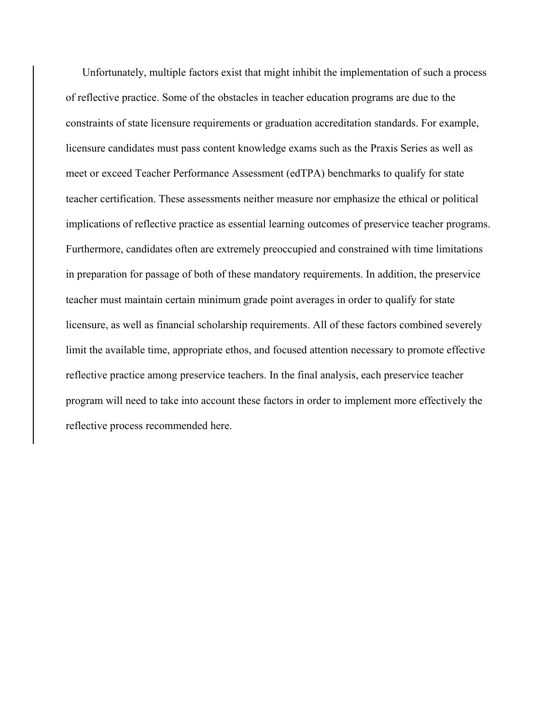Unfortunately, multiple factors exist that might inhibit the implementation of such a process of reflective practice. Some of the obstacles in teacher education programs are due to the constraints of state licensure requirements or graduation accreditation standards. For example, licensure candidates must pass content knowledge exams such as the Praxis Series as well as meet or exceed Teacher Performance Assessment (edTPA) benchmarks to qualify for state teacher certification. These assessments neither measure nor emphasize the ethical or political implications of reflective practice as essential learning outcomes of preservice teacher programs. Furthermore, candidates often are extremely preoccupied and constrained with time limitations in preparation for passage of both of these mandatory requirements. In addition, the preservice teacher must maintain certain minimum grade point averages in order to qualify for state licensure, as well as financial scholarship requirements. All of these factors combined severely limit the available time, appropriate ethos, and focused attention necessary to promote effective reflective practice among preservice teachers. In the final analysis, each preservice teacher program will need to take into account these factors in order to implement more effectively the reflective process recommended here.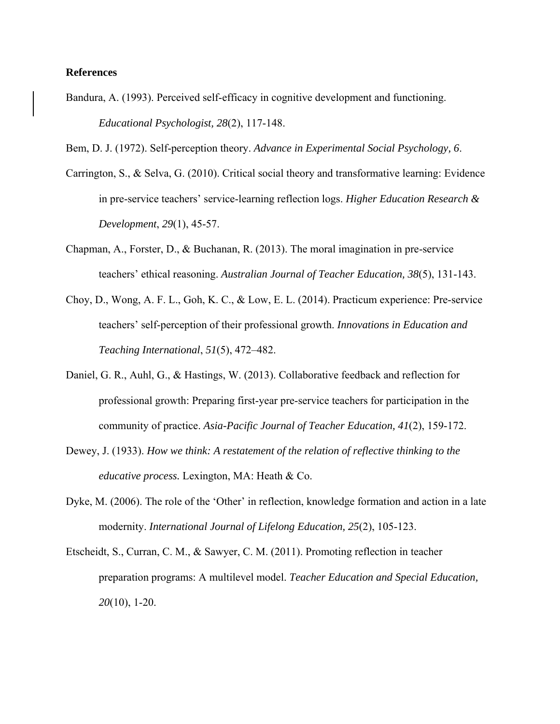#### **References**

Bandura, A. (1993). Perceived self-efficacy in cognitive development and functioning. *Educational Psychologist, 28*(2), 117-148.

Bem, D. J. (1972). Self-perception theory. *Advance in Experimental Social Psychology, 6*.

- Carrington, S., & Selva, G. (2010). Critical social theory and transformative learning: Evidence in pre-service teachers' service-learning reflection logs. *Higher Education Research & Development*, *29*(1), 45-57.
- Chapman, A., Forster, D., & Buchanan, R. (2013). The moral imagination in pre-service teachers' ethical reasoning. *Australian Journal of Teacher Education, 38*(5), 131-143.
- Choy, D., Wong, A. F. L., Goh, K. C., & Low, E. L. (2014). Practicum experience: Pre-service teachers' self-perception of their professional growth. *Innovations in Education and Teaching International*, *51*(5), 472–482.
- Daniel, G. R., Auhl, G., & Hastings, W. (2013). Collaborative feedback and reflection for professional growth: Preparing first-year pre-service teachers for participation in the community of practice. *Asia-Pacific Journal of Teacher Education, 41*(2), 159-172.
- Dewey, J. (1933). *How we think: A restatement of the relation of reflective thinking to the educative process.* Lexington, MA: Heath & Co.
- Dyke, M. (2006). The role of the 'Other' in reflection, knowledge formation and action in a late modernity. *International Journal of Lifelong Education, 25*(2), 105-123.
- Etscheidt, S., Curran, C. M., & Sawyer, C. M. (2011). Promoting reflection in teacher preparation programs: A multilevel model. *Teacher Education and Special Education, 20*(10), 1-20.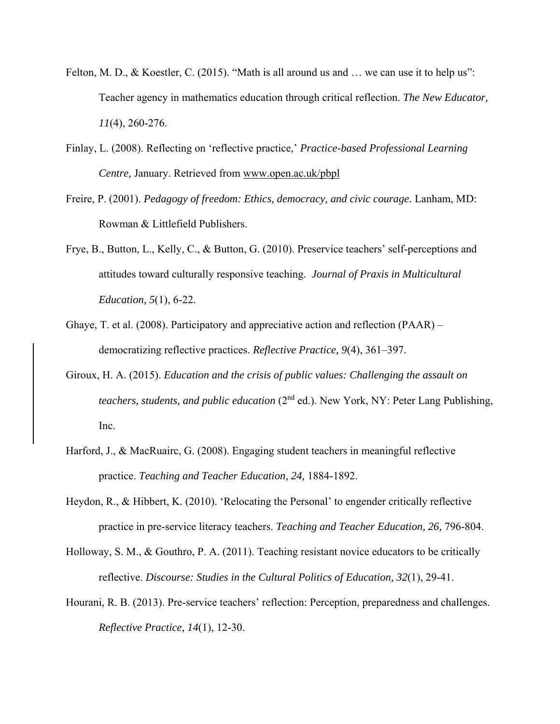- Felton, M. D., & Koestler, C. (2015). "Math is all around us and ... we can use it to help us": Teacher agency in mathematics education through critical reflection. *The New Educator, 11*(4), 260-276.
- Finlay, L. (2008). Reflecting on 'reflective practice,' *Practice-based Professional Learning Centre,* January. Retrieved from [www.open.ac.uk/pbpl](http://www.open.ac.uk/pbpl)
- Freire, P. (2001). *Pedagogy of freedom: Ethics, democracy, and civic courage.* Lanham, MD: Rowman & Littlefield Publishers.
- Frye, B., Button, L., Kelly, C., & Button, G. (2010). Preservice teachers' self-perceptions and attitudes toward culturally responsive teaching. *Journal of Praxis in Multicultural Education, 5*(1), 6-22.
- Ghaye, T. et al. (2008). Participatory and appreciative action and reflection (PAAR) democratizing reflective practices. *Reflective Practice, 9*(4), 361–397.
- Giroux, H. A. (2015). *Education and the crisis of public values: Challenging the assault on teachers, students, and public education* (2<sup>nd</sup> ed.). New York, NY: Peter Lang Publishing, Inc.
- Harford, J., & MacRuairc, G. (2008). Engaging student teachers in meaningful reflective practice. *Teaching and Teacher Education, 24,* 1884-1892.
- Heydon, R., & Hibbert, K. (2010). 'Relocating the Personal' to engender critically reflective practice in pre-service literacy teachers. *Teaching and Teacher Education, 26,* 796-804.
- Holloway, S. M., & Gouthro, P. A. (2011). Teaching resistant novice educators to be critically reflective. *Discourse: Studies in the Cultural Politics of Education, 32*(1), 29-41.
- Hourani, R. B. (2013). Pre-service teachers' reflection: Perception, preparedness and challenges. *Reflective Practice, 14*(1), 12-30.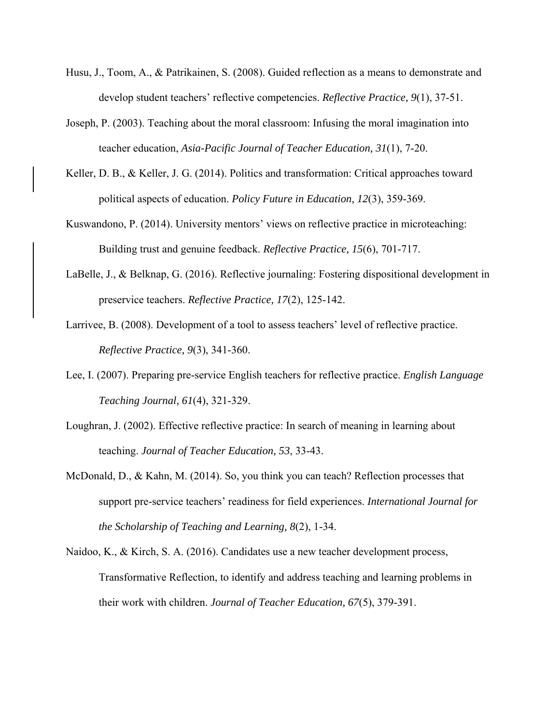- Husu, J., Toom, A., & Patrikainen, S. (2008). Guided reflection as a means to demonstrate and develop student teachers' reflective competencies. *Reflective Practice, 9*(1), 37-51.
- Joseph, P. (2003). Teaching about the moral classroom: Infusing the moral imagination into teacher education, *Asia-Pacific Journal of Teacher Education, 31*(1), 7-20.
- Keller, D. B., & Keller, J. G. (2014). Politics and transformation: Critical approaches toward political aspects of education. *Policy Future in Education, 12*(3), 359-369.
- Kuswandono, P. (2014). University mentors' views on reflective practice in microteaching: Building trust and genuine feedback. *Reflective Practice, 15*(6), 701-717.
- LaBelle, J., & Belknap, G. (2016). Reflective journaling: Fostering dispositional development in preservice teachers. *Reflective Practice, 17*(2), 125-142.
- Larrivee, B. (2008). Development of a tool to assess teachers' level of reflective practice. *Reflective Practice, 9*(3), 341-360.
- Lee, I. (2007). Preparing pre-service English teachers for reflective practice. *English Language Teaching Journal, 61*(4), 321-329.
- Loughran, J. (2002). Effective reflective practice: In search of meaning in learning about teaching. *Journal of Teacher Education, 53*, 33-43.
- McDonald, D., & Kahn, M. (2014). So, you think you can teach? Reflection processes that support pre-service teachers' readiness for field experiences. *International Journal for the Scholarship of Teaching and Learning, 8*(2), 1-34.
- Naidoo, K., & Kirch, S. A. (2016). Candidates use a new teacher development process, Transformative Reflection, to identify and address teaching and learning problems in their work with children. *Journal of Teacher Education, 67*(5), 379-391.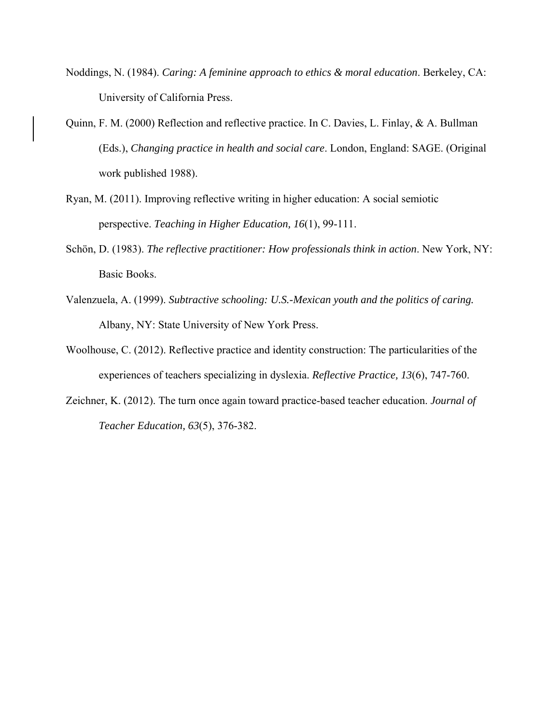- Noddings, N. (1984). *Caring: A feminine approach to ethics & moral education*. Berkeley, CA: University of California Press.
- Quinn, F. M. (2000) Reflection and reflective practice. In C. Davies, L. Finlay, & A. Bullman (Eds.), *Changing practice in health and social care*. London, England: SAGE. (Original work published 1988).
- Ryan, M. (2011). Improving reflective writing in higher education: A social semiotic perspective. *Teaching in Higher Education, 16*(1), 99-111.
- Schön, D. (1983). *The reflective practitioner: How professionals think in action*. New York, NY: Basic Books.
- Valenzuela, A. (1999). *Subtractive schooling: U.S.-Mexican youth and the politics of caring.* Albany, NY: State University of New York Press.
- Woolhouse, C. (2012). Reflective practice and identity construction: The particularities of the experiences of teachers specializing in dyslexia. *Reflective Practice, 13*(6), 747-760.
- Zeichner, K. (2012). The turn once again toward practice-based teacher education. *Journal of Teacher Education, 63*(5), 376-382.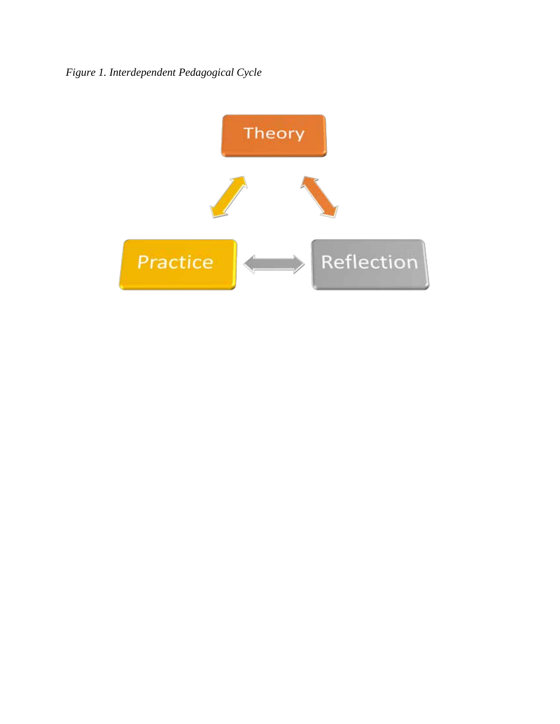*Figure 1. Interdependent Pedagogical Cycle*

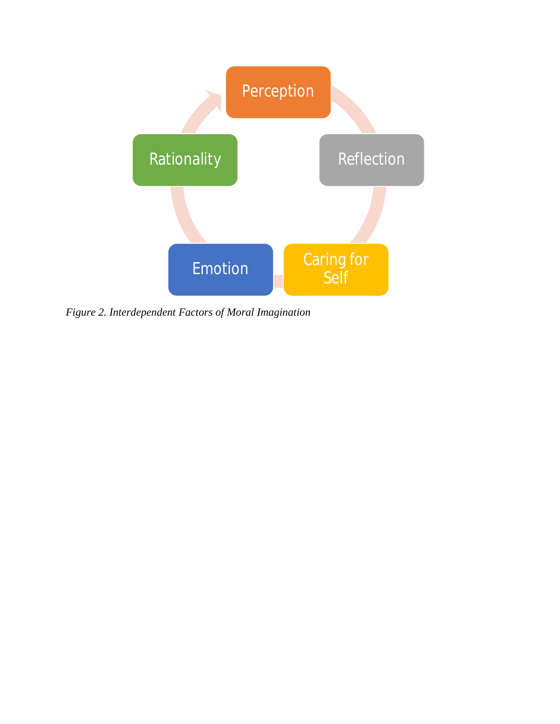

*Figure 2. Interdependent Factors of Moral Imagination*